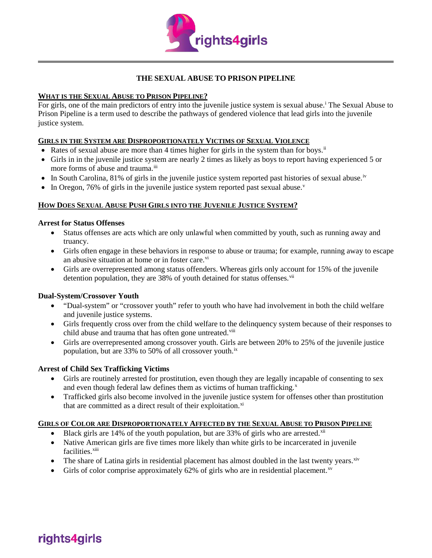

# **THE SEXUAL ABUSE TO PRISON PIPELINE**

# **WHAT IS THE SEXUAL ABUSE TO PRISON PIPELINE?**

For g[i](#page-1-0)rls, one of the main predictors of entry into the juvenile justice system is sexual abuse.<sup>1</sup> The Sexual Abuse to Prison Pipeline is a term used to describe the pathways of gendered violence that lead girls into the juvenile justice system.

#### **GIRLS IN THE SYSTEM ARE DISPROPORTIONATELY VICTIMS OF SEXUAL VIOLENCE**

- Rates of sexual abuse are more than 4 times higher for girls in the system than for boys.<sup>[ii](#page-1-1)</sup>
- Girls in in the juvenile justice system are nearly 2 times as likely as boys to report having experienced 5 or more forms of abuse and trauma.<sup>[iii](#page-1-2)</sup>
- In South Carolina, 81% of girls in the juvenile justice system reported past histories of sexual abuse.<sup>[iv](#page-1-3)</sup>
- In Oregon, 76% of girls in the ju[v](#page-1-4)enile justice system reported past sexual abuse.

# **HOW DOES SEXUAL ABUSE PUSH GIRLS INTO THE JUVENILE JUSTICE SYSTEM?**

#### **Arrest for Status Offenses**

- Status offenses are acts which are only unlawful when committed by youth, such as running away and truancy.
- Girls often engage in these behaviors in response to abuse or trauma; for example, running away to escape an abusive situation at home or in foster care.<sup>[vi](#page-1-5)</sup>
- Girls are overrepresented among status offenders. Whereas girls only account for 15% of the juvenile detention population, they are 38% of youth detained for status offenses. [vii](#page-1-6)

#### **Dual-System/Crossover Youth**

- "Dual-system" or "crossover youth" refer to youth who have had involvement in both the child welfare and juvenile justice systems.
- Girls frequently cross over from the child welfare to the delinquency system because of their responses to child abuse and trauma that has often gone untreated.<sup>[viii](#page-1-7)</sup>
- Girls are overrepresented among crossover youth. Girls are between 20% to 25% of the juvenile justice population, but are 33% to 50% of all crossover youth.<sup>[ix](#page-1-8)</sup>

#### **Arrest of Child Sex Trafficking Victims**

- Girls are routinely arrested for prostitution, even though they are legally incapable of consenting to sex and even though federal law defines them as victims of human trafficking.<sup>[x](#page-1-9)</sup>
- Trafficked girls also become involved in the juvenile justice system for offenses other than prostitution that are committed as a direct result of their exploitation.<sup>xi</sup>

#### **GIRLS OF COLOR ARE DISPROPORTIONATELY AFFECTED BY THE SEXUAL ABUSE TO PRISON PIPELINE**

- Black girls are 14% of the youth population, but are 33% of girls who are arrested. $\frac{x}{10}$
- Native American girls are five times more likely than white girls to be incarcerated in juvenile facilities.<sup>[xiii](#page-1-12)</sup>
- The share of Latina girls in residential placement has almost doubled in the last twenty years. Xiv
- Girls of color comprise approximately 62% of girls who are in residential placement.<sup>[xv](#page-1-14)</sup>

# rights4girls